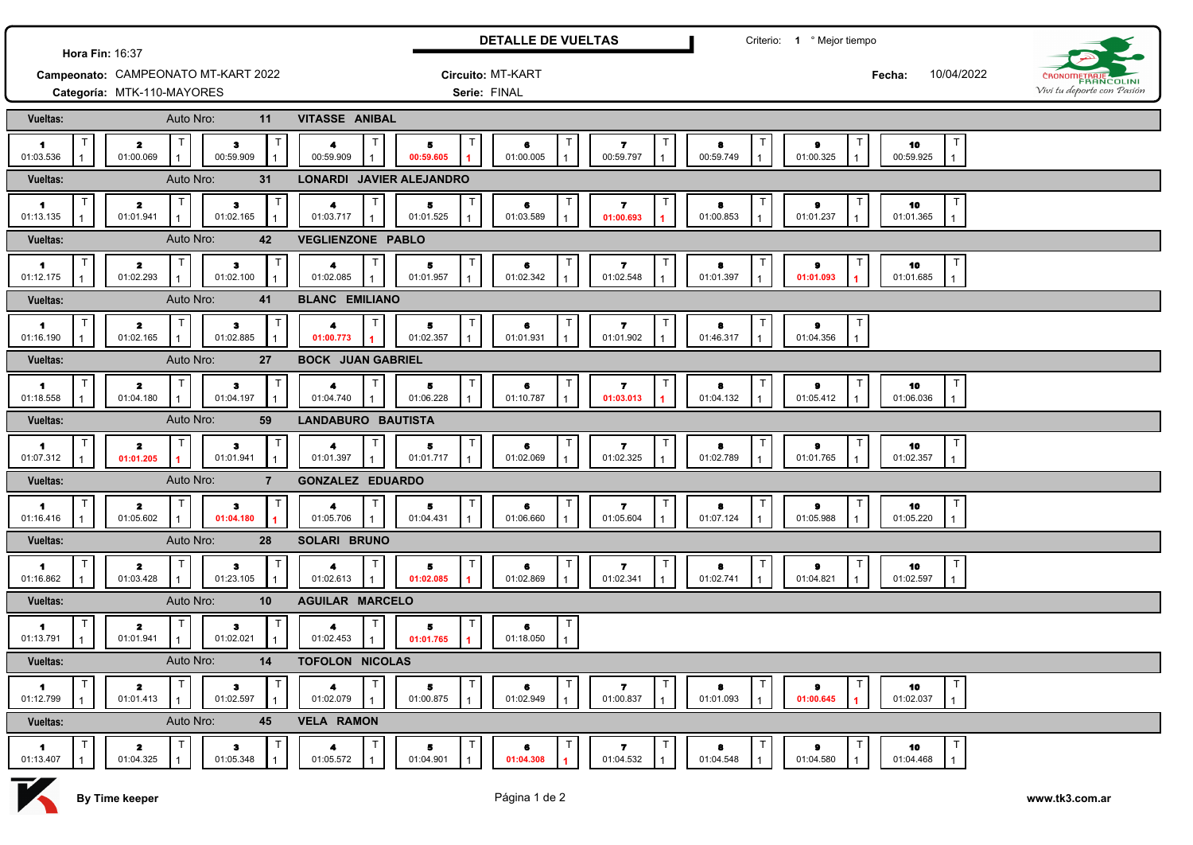|                                                        |                                 |                                  |                             |                                     | <b>DETALLE DE VUELTAS</b> |                                               |                                                      | Criterio: 1 ° Mejor tiempo             |                             |                                                 |                                            |
|--------------------------------------------------------|---------------------------------|----------------------------------|-----------------------------|-------------------------------------|---------------------------|-----------------------------------------------|------------------------------------------------------|----------------------------------------|-----------------------------|-------------------------------------------------|--------------------------------------------|
| Hora Fin: 16:37<br>Campeonato: CAMPEONATO MT-KART 2022 |                                 |                                  |                             |                                     | Circuito: MT-KART         |                                               |                                                      |                                        |                             | 10/04/2022<br>Fecha:                            |                                            |
| Categoría: MTK-110-MAYORES                             |                                 |                                  |                             |                                     | Serie: FINAL              |                                               |                                                      |                                        |                             |                                                 | CRONOMETRAJE<br>Vivi tu deporte con Pasión |
| <b>Vueltas:</b>                                        | Auto Nro:                       |                                  | 11                          | <b>VITASSE ANIBAL</b>               |                           |                                               |                                                      |                                        |                             |                                                 |                                            |
| п<br>$\blacksquare$<br>01:03.536                       | т<br>$\mathbf{z}$<br>01:00.069  | з<br>00:59.909                   | ा                           | Т<br>4<br>00:59.909                 | Б<br>00:59.605            | $\mathsf T$<br>6<br>01:00.005<br>$\mathbf{1}$ | $\mathsf{T}$<br>$\overline{\mathbf{r}}$<br>00:59.797 | -1<br>8<br>00:59.749<br>$\overline{1}$ | т<br>e.<br>01:00.325        | $\mathsf{T}$<br>10<br>00:59.925<br>$\mathbf{1}$ |                                            |
| Vueltas:                                               | Auto Nro:                       |                                  | 31                          | <b>LONARDI JAVIER ALEJANDRO</b>     |                           |                                               |                                                      |                                        |                             |                                                 |                                            |
| -1<br>01:13.135                                        | T<br>$\mathbf{z}$<br>01:01.941  | з<br>01:02.165                   | $\mathsf{T}$                | 4<br>01:03.717                      | 5<br>01:01.525            | $\top$<br>6<br>01:03.589                      | Т<br>$\overline{\mathbf{r}}$<br>01:00.693            | 8<br>01:00.853                         | $\pmb{9}$<br>01:01.237      | $\top$<br>10<br>01:01.365<br>$\mathbf{1}$       |                                            |
| Vueltas:                                               | Auto Nro:                       |                                  | 42                          | <b>VEGLIENZONE PABLO</b>            |                           |                                               |                                                      |                                        |                             |                                                 |                                            |
| Τ<br>1<br>01:12.175                                    | T<br>$\mathbf{z}$<br>01:02.293  | з<br>01:02.100                   |                             | 4<br>01:02.085                      | 5<br>01:01.957            | $\mathsf{T}$<br>6<br>01:02.342                | $\mathbf{7}$<br>01:02.548                            | $\mathsf{T}$<br>8<br>01:01.397         | $\pmb{9}$<br>01:01.093      | T<br>10<br>01:01.685<br>$\mathbf{1}$            |                                            |
| <b>Vueltas:</b>                                        | Auto Nro:                       |                                  | 41                          | <b>BLANC EMILIANO</b>               |                           |                                               |                                                      |                                        |                             |                                                 |                                            |
| т<br>$\blacktriangleleft$<br>01:16.190                 | T<br>$\mathbf{z}$<br>01:02.165  | з<br>01:02.885                   | $\mathbf T$                 | 4<br>01:00.773                      | 5<br>01:02.357            | $\mathsf T$<br>6<br>01:01.931                 | $\overline{ }$<br>01:01.902                          | $\top$<br>8<br>01:46.317               | Т<br>$\pmb{9}$<br>01:04.356 |                                                 |                                            |
| Vueltas:                                               | Auto Nro:                       |                                  | 27                          | <b>BOCK JUAN GABRIEL</b>            |                           |                                               |                                                      |                                        |                             |                                                 |                                            |
| т<br>1<br>01:18.558                                    | T<br>$\mathbf{z}$<br>01:04.180  | $\bullet$<br>01:04.197           | $\mathsf T$<br>$\mathbf{1}$ | $\mathsf{T}$<br>4<br>01:04.740      | 5<br>01:06.228            | $\top$<br>6<br>01:10.787                      | $\overline{\mathbf{r}}$<br>01:03.013                 | ा<br>8<br>01:04.132                    | т<br>e.<br>01:05.412        | T<br>10<br>01:06.036<br>$\mathbf{1}$            |                                            |
| <b>Vueltas:</b>                                        | Auto Nro:                       |                                  | 59                          | <b>LANDABURO BAUTISTA</b>           |                           |                                               |                                                      |                                        |                             |                                                 |                                            |
| $\mathsf T$<br>1<br>01:07.312                          | T.<br>$\mathbf{z}$<br>01:01.205 | з<br>01:01.941                   | $\mathbf{1}$                | 4<br>01:01.397<br>$\mathbf{1}$      | 5<br>01:01.717            | T<br>6<br>01:02.069                           | $\overline{\mathbf{r}}$<br>01:02.325                 | $\top$<br>8<br>01:02.789               | Т<br>9<br>01:01.765         | $\mathsf{T}$<br>10<br>01:02.357<br>$\mathbf{1}$ |                                            |
| <b>Vueltas:</b>                                        | Auto Nro:                       |                                  | $\overline{7}$              | <b>GONZALEZ EDUARDO</b>             |                           |                                               |                                                      |                                        |                             |                                                 |                                            |
| T<br>1<br>01:16.416                                    | T<br>$\mathbf{z}$<br>01:05.602  | з<br>01:04.180                   | $\mathbf T$                 | $\top$<br>01:05.706<br>$\mathbf{1}$ | 5<br>01:04.431            | $\top$<br>6<br>01:06.660                      | Т<br>$\overline{ }$<br>01:05.604                     | $\mathsf{T}$<br>8<br>01:07.124         | Т<br>$\bullet$<br>01:05.988 | T<br>10<br>01:05.220<br>$\mathbf{1}$            |                                            |
| Vueltas:                                               | Auto Nro:                       |                                  | 28                          | SOLARI BRUNO                        |                           |                                               |                                                      |                                        |                             |                                                 |                                            |
| п<br>-1<br>01:16.862                                   | T.<br>$\mathbf{z}$<br>01:03.428 | з<br>01:23.105                   | ा                           | 01:02.613                           | 5<br>01:02.085            | $\mathsf T$<br>6<br>01:02.869                 | T<br>-7<br>01:02.341                                 | $\mathsf{T}$<br>8<br>01:02.741         | т<br>9<br>01:04.821         | $\top$<br>10<br>01:02.597<br>$\mathbf{1}$       |                                            |
| Vueltas:                                               | Auto Nro:                       |                                  | 10                          | <b>AGUILAR MARCELO</b>              |                           |                                               |                                                      |                                        |                             |                                                 |                                            |
| $\mathsf T$<br>1<br>01:13.791                          | $\mathsf T$<br>2<br>01:01.941   | з<br>01:02.021                   | 1                           | 4<br>01:02.453                      | 5<br>01:01.765            | $\top$<br>6<br>01:18.050                      |                                                      |                                        |                             |                                                 |                                            |
| Vueltas:                                               | Auto Nro:                       |                                  | 14                          | <b>TOFOLON NICOLAS</b>              |                           |                                               |                                                      |                                        |                             |                                                 |                                            |
| Τ<br>$\mathbf{1}$<br>01:12.799                         | $\mathbf{z}$<br>01:01.413       | $\bullet$<br>01:02.597           | E                           | 4<br>01:02.079                      | Б<br>01:00.875            | $\top$<br>6<br>01:02.949                      | $\mathsf{T}$<br>$\mathbf{z}$<br>01:00.837            | $\top$<br>8<br>01:01.093               | Т<br>e.<br>01:00.645        | T<br>10<br>01:02.037<br>$\mathbf{1}$            |                                            |
| Vueltas:                                               | Auto Nro:                       |                                  | 45                          | <b>VELA RAMON</b>                   |                           |                                               |                                                      |                                        |                             |                                                 |                                            |
| 1<br>01:13.407                                         | $\mathbf{z}$<br>01:04.325       | $\ddot{\textbf{3}}$<br>01:05.348 |                             | 01:05.572                           | 5<br>01:04.901            | $\top$<br>6<br>01:04.308                      | $\overline{\mathbf{r}}$<br>01:04.532                 | Т<br>8<br>01:04.548                    | 9<br>01:04.580              | T<br>10<br>01:04.468<br>$\mathbf{1}$            |                                            |